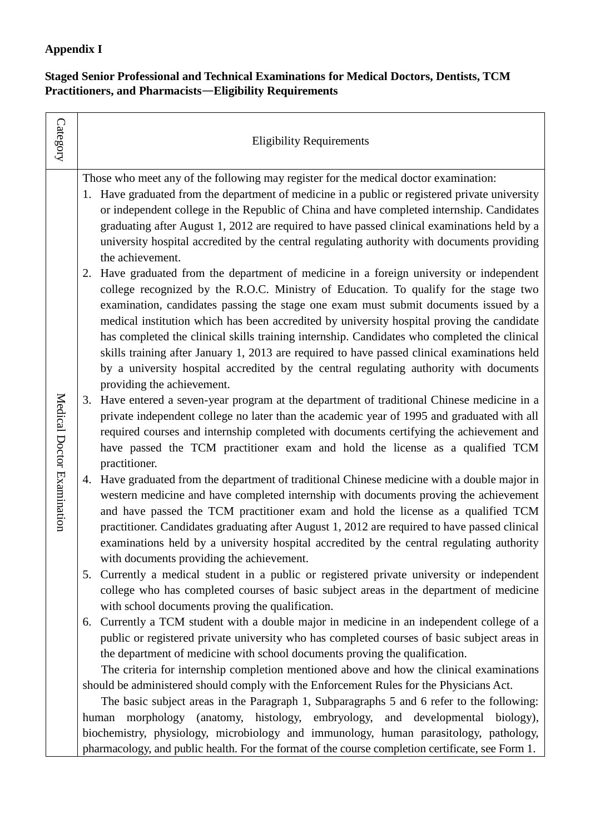## **Appendix I**

## **Staged Senior Professional and Technical Examinations for Medical Doctors, Dentists, TCM Practitioners, and Pharmacists**—**Eligibility Requirements**

| 1. Have graduated from the department of medicine in a public or registered private university<br>or independent college in the Republic of China and have completed internship. Candidates<br>graduating after August 1, 2012 are required to have passed clinical examinations held by a<br>university hospital accredited by the central regulating authority with documents providing                                                                                                                                                                                                                                                                     |
|---------------------------------------------------------------------------------------------------------------------------------------------------------------------------------------------------------------------------------------------------------------------------------------------------------------------------------------------------------------------------------------------------------------------------------------------------------------------------------------------------------------------------------------------------------------------------------------------------------------------------------------------------------------|
| Have graduated from the department of medicine in a foreign university or independent<br>college recognized by the R.O.C. Ministry of Education. To qualify for the stage two<br>examination, candidates passing the stage one exam must submit documents issued by a<br>medical institution which has been accredited by university hospital proving the candidate<br>has completed the clinical skills training internship. Candidates who completed the clinical<br>skills training after January 1, 2013 are required to have passed clinical examinations held<br>by a university hospital accredited by the central regulating authority with documents |
| Have entered a seven-year program at the department of traditional Chinese medicine in a<br>private independent college no later than the academic year of 1995 and graduated with all<br>required courses and internship completed with documents certifying the achievement and<br>have passed the TCM practitioner exam and hold the license as a qualified TCM                                                                                                                                                                                                                                                                                            |
| 4. Have graduated from the department of traditional Chinese medicine with a double major in<br>western medicine and have completed internship with documents proving the achievement<br>and have passed the TCM practitioner exam and hold the license as a qualified TCM<br>practitioner. Candidates graduating after August 1, 2012 are required to have passed clinical<br>examinations held by a university hospital accredited by the central regulating authority                                                                                                                                                                                      |
| Currently a medical student in a public or registered private university or independent<br>college who has completed courses of basic subject areas in the department of medicine                                                                                                                                                                                                                                                                                                                                                                                                                                                                             |
| Currently a TCM student with a double major in medicine in an independent college of a<br>public or registered private university who has completed courses of basic subject areas in<br>The criteria for internship completion mentioned above and how the clinical examinations                                                                                                                                                                                                                                                                                                                                                                             |
| should be administered should comply with the Enforcement Rules for the Physicians Act.<br>The basic subject areas in the Paragraph 1, Subparagraphs 5 and 6 refer to the following:<br>morphology (anatomy, histology, embryology, and developmental biology),<br>biochemistry, physiology, microbiology and immunology, human parasitology, pathology,                                                                                                                                                                                                                                                                                                      |
| pharmacology, and public health. For the format of the course completion certificate, see Form 1.                                                                                                                                                                                                                                                                                                                                                                                                                                                                                                                                                             |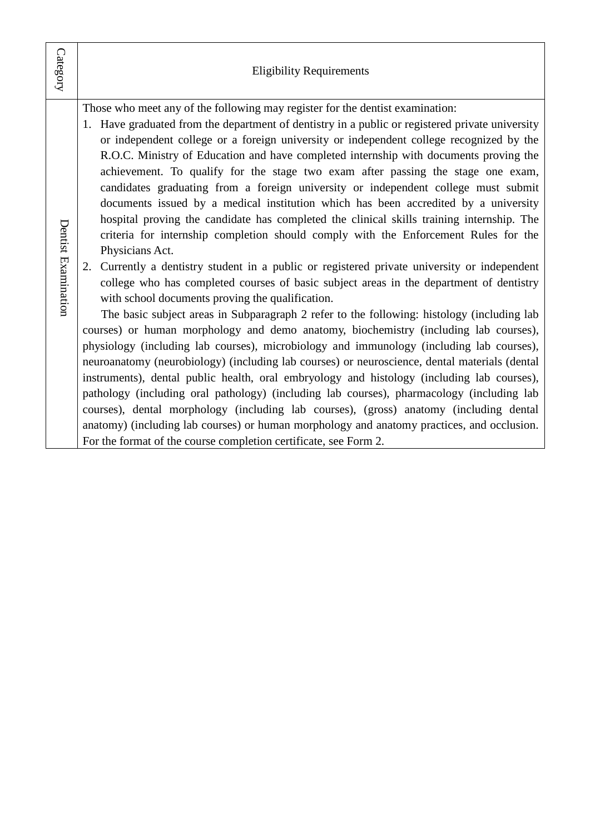| Category            | <b>Eligibility Requirements</b>                                                                                                                                                                                                                                                                                                                                                                                                                                                                                                                                                                                                                                                                                                                                                                                                                                                                                                                                                                                                                                                                                                                                                                                                                                                                                                                                                                                                                                                                                                                                                                                                                                                                                                                                                                                                                                                                                                          |
|---------------------|------------------------------------------------------------------------------------------------------------------------------------------------------------------------------------------------------------------------------------------------------------------------------------------------------------------------------------------------------------------------------------------------------------------------------------------------------------------------------------------------------------------------------------------------------------------------------------------------------------------------------------------------------------------------------------------------------------------------------------------------------------------------------------------------------------------------------------------------------------------------------------------------------------------------------------------------------------------------------------------------------------------------------------------------------------------------------------------------------------------------------------------------------------------------------------------------------------------------------------------------------------------------------------------------------------------------------------------------------------------------------------------------------------------------------------------------------------------------------------------------------------------------------------------------------------------------------------------------------------------------------------------------------------------------------------------------------------------------------------------------------------------------------------------------------------------------------------------------------------------------------------------------------------------------------------------|
| Dentist Examination | Those who meet any of the following may register for the dentist examination:<br>1. Have graduated from the department of dentistry in a public or registered private university<br>or independent college or a foreign university or independent college recognized by the<br>R.O.C. Ministry of Education and have completed internship with documents proving the<br>achievement. To qualify for the stage two exam after passing the stage one exam,<br>candidates graduating from a foreign university or independent college must submit<br>documents issued by a medical institution which has been accredited by a university<br>hospital proving the candidate has completed the clinical skills training internship. The<br>criteria for internship completion should comply with the Enforcement Rules for the<br>Physicians Act.<br>Currently a dentistry student in a public or registered private university or independent<br>2.<br>college who has completed courses of basic subject areas in the department of dentistry<br>with school documents proving the qualification.<br>The basic subject areas in Subparagraph 2 refer to the following: histology (including lab<br>courses) or human morphology and demo anatomy, biochemistry (including lab courses),<br>physiology (including lab courses), microbiology and immunology (including lab courses),<br>neuroanatomy (neurobiology) (including lab courses) or neuroscience, dental materials (dental<br>instruments), dental public health, oral embryology and histology (including lab courses),<br>pathology (including oral pathology) (including lab courses), pharmacology (including lab<br>courses), dental morphology (including lab courses), (gross) anatomy (including dental<br>anatomy) (including lab courses) or human morphology and anatomy practices, and occlusion.<br>For the format of the course completion certificate, see Form 2. |
|                     |                                                                                                                                                                                                                                                                                                                                                                                                                                                                                                                                                                                                                                                                                                                                                                                                                                                                                                                                                                                                                                                                                                                                                                                                                                                                                                                                                                                                                                                                                                                                                                                                                                                                                                                                                                                                                                                                                                                                          |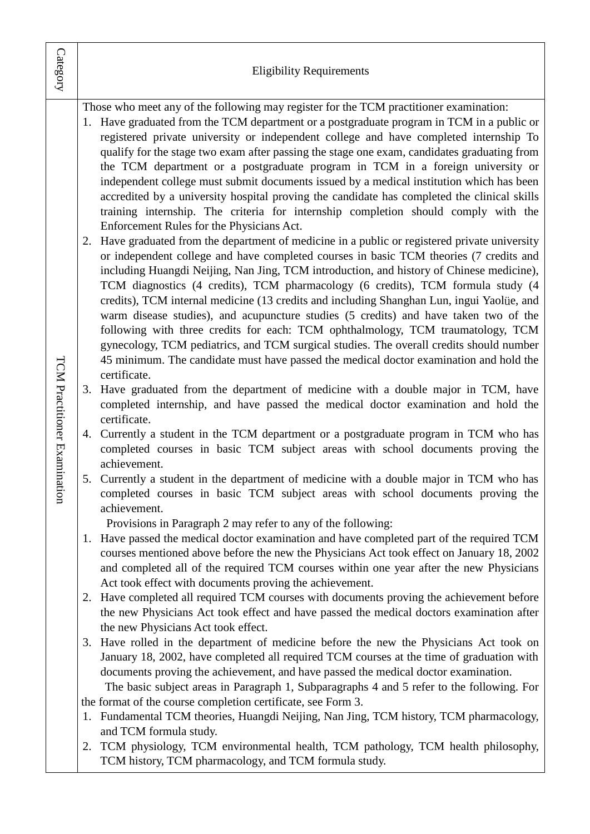| Category                        | <b>Eligibility Requirements</b>                                                                                                                                                                                                                                                                                                                                                                                                                                                                                                                                                                                                                                                                                                                                                                                                                                                                                                                                                                                                                                                                                                                                                                                                                                                                                                                                                                                                                                                                                                                                                                                                                                                                                                                                                                                                                                                                                                                                                                                                                                                                                                                                                                                                                                                                                                                                                                                                                                                                                                                                                                                                                                                                                                                                                                                                                                                                                                                                                                                                                                                                                                                                                                                                                                                                                                                                                                                                                                                                                                               |
|---------------------------------|-----------------------------------------------------------------------------------------------------------------------------------------------------------------------------------------------------------------------------------------------------------------------------------------------------------------------------------------------------------------------------------------------------------------------------------------------------------------------------------------------------------------------------------------------------------------------------------------------------------------------------------------------------------------------------------------------------------------------------------------------------------------------------------------------------------------------------------------------------------------------------------------------------------------------------------------------------------------------------------------------------------------------------------------------------------------------------------------------------------------------------------------------------------------------------------------------------------------------------------------------------------------------------------------------------------------------------------------------------------------------------------------------------------------------------------------------------------------------------------------------------------------------------------------------------------------------------------------------------------------------------------------------------------------------------------------------------------------------------------------------------------------------------------------------------------------------------------------------------------------------------------------------------------------------------------------------------------------------------------------------------------------------------------------------------------------------------------------------------------------------------------------------------------------------------------------------------------------------------------------------------------------------------------------------------------------------------------------------------------------------------------------------------------------------------------------------------------------------------------------------------------------------------------------------------------------------------------------------------------------------------------------------------------------------------------------------------------------------------------------------------------------------------------------------------------------------------------------------------------------------------------------------------------------------------------------------------------------------------------------------------------------------------------------------------------------------------------------------------------------------------------------------------------------------------------------------------------------------------------------------------------------------------------------------------------------------------------------------------------------------------------------------------------------------------------------------------------------------------------------------------------------------------------------------|
| TCM Practitioner Examina<br>ion | Those who meet any of the following may register for the TCM practitioner examination:<br>1. Have graduated from the TCM department or a postgraduate program in TCM in a public or<br>registered private university or independent college and have completed internship To<br>qualify for the stage two exam after passing the stage one exam, candidates graduating from<br>the TCM department or a postgraduate program in TCM in a foreign university or<br>independent college must submit documents issued by a medical institution which has been<br>accredited by a university hospital proving the candidate has completed the clinical skills<br>training internship. The criteria for internship completion should comply with the<br>Enforcement Rules for the Physicians Act.<br>Have graduated from the department of medicine in a public or registered private university<br>2.<br>or independent college and have completed courses in basic TCM theories (7 credits and<br>including Huangdi Neijing, Nan Jing, TCM introduction, and history of Chinese medicine),<br>TCM diagnostics (4 credits), TCM pharmacology (6 credits), TCM formula study (4<br>credits), TCM internal medicine (13 credits and including Shanghan Lun, ingui Yaolüe, and<br>warm disease studies), and acupuncture studies (5 credits) and have taken two of the<br>following with three credits for each: TCM ophthalmology, TCM traumatology, TCM<br>gynecology, TCM pediatrics, and TCM surgical studies. The overall credits should number<br>45 minimum. The candidate must have passed the medical doctor examination and hold the<br>certificate.<br>Have graduated from the department of medicine with a double major in TCM, have<br>completed internship, and have passed the medical doctor examination and hold the<br>certificate.<br>4. Currently a student in the TCM department or a postgraduate program in TCM who has<br>completed courses in basic TCM subject areas with school documents proving the<br>achievement.<br>5. Currently a student in the department of medicine with a double major in TCM who has<br>completed courses in basic TCM subject areas with school documents proving the<br>achievement.<br>Provisions in Paragraph 2 may refer to any of the following:<br>1. Have passed the medical doctor examination and have completed part of the required TCM<br>courses mentioned above before the new the Physicians Act took effect on January 18, 2002<br>and completed all of the required TCM courses within one year after the new Physicians<br>Act took effect with documents proving the achievement.<br>2. Have completed all required TCM courses with documents proving the achievement before<br>the new Physicians Act took effect and have passed the medical doctors examination after<br>the new Physicians Act took effect.<br>Have rolled in the department of medicine before the new the Physicians Act took on<br>3.<br>January 18, 2002, have completed all required TCM courses at the time of graduation with<br>documents proving the achievement, and have passed the medical doctor examination.<br>The basic subject areas in Paragraph 1, Subparagraphs 4 and 5 refer to the following. For<br>the format of the course completion certificate, see Form 3.<br>1. Fundamental TCM theories, Huangdi Neijing, Nan Jing, TCM history, TCM pharmacology,<br>and TCM formula study.<br>TCM physiology, TCM environmental health, TCM pathology, TCM health philosophy,<br>2. |
|                                 | TCM history, TCM pharmacology, and TCM formula study.                                                                                                                                                                                                                                                                                                                                                                                                                                                                                                                                                                                                                                                                                                                                                                                                                                                                                                                                                                                                                                                                                                                                                                                                                                                                                                                                                                                                                                                                                                                                                                                                                                                                                                                                                                                                                                                                                                                                                                                                                                                                                                                                                                                                                                                                                                                                                                                                                                                                                                                                                                                                                                                                                                                                                                                                                                                                                                                                                                                                                                                                                                                                                                                                                                                                                                                                                                                                                                                                                         |